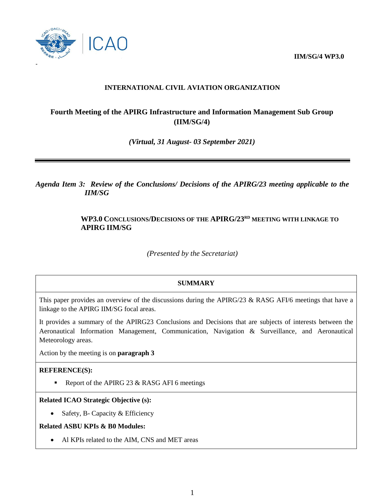**IIM/SG/4 WP3.0**



# **INTERNATIONAL CIVIL AVIATION ORGANIZATION**

# **Fourth Meeting of the APIRG Infrastructure and Information Management Sub Group (IIM/SG/4)**

*(Virtual, 31 August- 03 September 2021)*

*Agenda Item 3: Review of the Conclusions/ Decisions of the APIRG/23 meeting applicable to the IIM/SG*

# **WP3.0 CONCLUSIONS/DECISIONS OF THE APIRG/23 RD MEETING WITH LINKAGE TO APIRG IIM/SG**

*(Presented by the Secretariat)*

## **SUMMARY**

This paper provides an overview of the discussions during the APIRG/23 & RASG AFI/6 meetings that have a linkage to the APIRG IIM/SG focal areas.

It provides a summary of the APIRG23 Conclusions and Decisions that are subjects of interests between the Aeronautical Information Management, Communication, Navigation & Surveillance, and Aeronautical Meteorology areas.

Action by the meeting is on **paragraph 3**

## **REFERENCE(S):**

Report of the APIRG 23  $&$  RASG AFI 6 meetings

#### **Related ICAO Strategic Objective (s):**

• Safety, B- Capacity  $&$  Efficiency

## **Related ASBU KPIs & B0 Modules:**

• Al KPIs related to the AIM, CNS and MET areas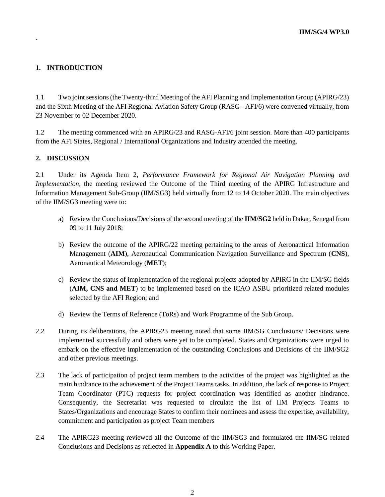# **1. INTRODUCTION**

**-**

1.1 Two joint sessions (the Twenty-third Meeting of the AFI Planning and Implementation Group (APIRG/23) and the Sixth Meeting of the AFI Regional Aviation Safety Group (RASG - AFI/6) were convened virtually, from 23 November to 02 December 2020.

1.2 The meeting commenced with an APIRG/23 and RASG-AFI/6 joint session. More than 400 participants from the AFI States, Regional / International Organizations and Industry attended the meeting.

#### **2. DISCUSSION**

2.1 Under its Agenda Item 2, *Performance Framework for Regional Air Navigation Planning and Implementation*, the meeting reviewed the Outcome of the Third meeting of the APIRG Infrastructure and Information Management Sub-Group (IIM/SG3) held virtually from 12 to 14 October 2020. The main objectives of the IIM/SG3 meeting were to:

- a) Review the Conclusions/Decisions of the second meeting of the **IIM/SG2** held in Dakar, Senegal from 09 to 11 July 2018;
- b) Review the outcome of the APIRG/22 meeting pertaining to the areas of Aeronautical Information Management (**AIM**), Aeronautical Communication Navigation Surveillance and Spectrum (**CNS**), Aeronautical Meteorology (**MET**);
- c) Review the status of implementation of the regional projects adopted by APIRG in the IIM/SG fields (**AIM, CNS and MET**) to be implemented based on the ICAO ASBU prioritized related modules selected by the AFI Region; and
- d) Review the Terms of Reference (ToRs) and Work Programme of the Sub Group.
- 2.2 During its deliberations, the APIRG23 meeting noted that some IIM/SG Conclusions/ Decisions were implemented successfully and others were yet to be completed. States and Organizations were urged to embark on the effective implementation of the outstanding Conclusions and Decisions of the IIM/SG2 and other previous meetings.
- 2.3 The lack of participation of project team members to the activities of the project was highlighted as the main hindrance to the achievement of the Project Teams tasks. In addition, the lack of response to Project Team Coordinator (PTC) requests for project coordination was identified as another hindrance. Consequently, the Secretariat was requested to circulate the list of IIM Projects Teams to States/Organizations and encourage States to confirm their nominees and assess the expertise, availability, commitment and participation as project Team members
- 2.4 The APIRG23 meeting reviewed all the Outcome of the IIM/SG3 and formulated the IIM/SG related Conclusions and Decisions as reflected in **Appendix A** to this Working Paper.